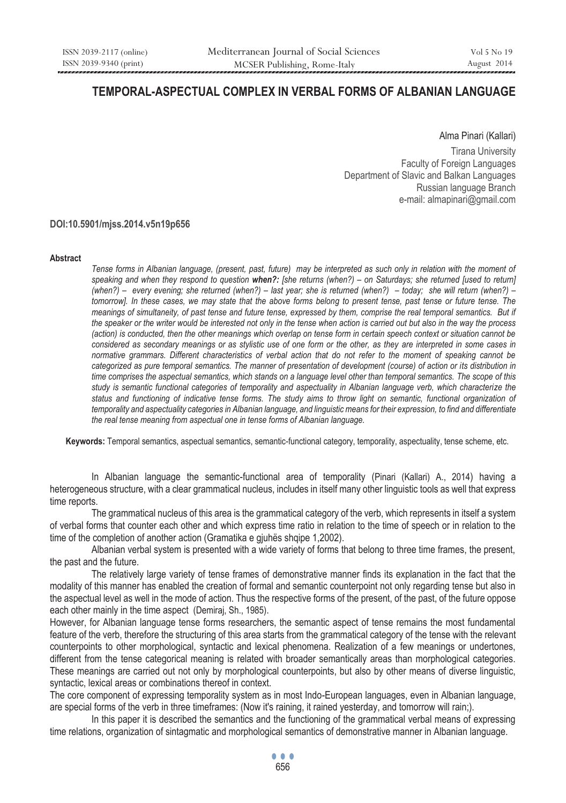# **TEMPORAL-ASPECTUAL COMPLEX IN VERBAL FORMS OF ALBANIAN LANGUAGE**

Alma Pinari (Kallari)

Tirana University Faculty of Foreign Languages Department of Slavic and Balkan Languages Russian language Branch e-mail: almapinari@gmail.com

### **DOI:10.5901/mjss.2014.v5n19p656**

#### **Abstract**

*Tense forms in Albanian language, (present, past, future) may be interpreted as such only in relation with the moment of speaking and when they respond to question when?: [she returns (when?) – on Saturdays; she returned [used to return] (when?) – every evening; she returned (when?) – last year; she is returned (when?) – today; she will return (when?) – tomorrow]. In these cases, we may state that the above forms belong to present tense, past tense or future tense. The meanings of simultaneity, of past tense and future tense, expressed by them, comprise the real temporal semantics. But if the speaker or the writer would be interested not only in the tense when action is carried out but also in the way the process (action) is conducted, then the other meanings which overlap on tense form in certain speech context or situation cannot be considered as secondary meanings or as stylistic use of one form or the other, as they are interpreted in some cases in normative grammars. Different characteristics of verbal action that do not refer to the moment of speaking cannot be categorized as pure temporal semantics. The manner of presentation of development (course) of action or its distribution in time comprises the aspectual semantics, which stands on a language level other than temporal semantics. The scope of this study is semantic functional categories of temporality and aspectuality in Albanian language verb, which characterize the status and functioning of indicative tense forms. The study aims to throw light on semantic, functional organization of temporality and aspectuality categories in Albanian language, and linguistic means for their expression, to find and differentiate the real tense meaning from aspectual one in tense forms of Albanian language.* 

**Keywords:** Temporal semantics, aspectual semantics, semantic-functional category, temporality, aspectuality, tense scheme, etc.

In Albanian language the semantic-functional area of temporality (Pinari (Kallari) A., 2014) having a heterogeneous structure, with a clear grammatical nucleus, includes in itself many other linguistic tools as well that express time reports.

The grammatical nucleus of this area is the grammatical category of the verb, which represents in itself a system of verbal forms that counter each other and which express time ratio in relation to the time of speech or in relation to the time of the completion of another action (Gramatika e gjuhës shqipe 1,2002).

Albanian verbal system is presented with a wide variety of forms that belong to three time frames, the present, the past and the future.

The relatively large variety of tense frames of demonstrative manner finds its explanation in the fact that the modality of this manner has enabled the creation of formal and semantic counterpoint not only regarding tense but also in the aspectual level as well in the mode of action. Thus the respective forms of the present, of the past, of the future oppose each other mainly in the time aspect (Demiraj, Sh., 1985).

However, for Albanian language tense forms researchers, the semantic aspect of tense remains the most fundamental feature of the verb, therefore the structuring of this area starts from the grammatical category of the tense with the relevant counterpoints to other morphological, syntactic and lexical phenomena. Realization of a few meanings or undertones, different from the tense categorical meaning is related with broader semantically areas than morphological categories. These meanings are carried out not only by morphological counterpoints, but also by other means of diverse linguistic, syntactic, lexical areas or combinations thereof in context.

The core component of expressing temporality system as in most Indo-European languages, even in Albanian language, are special forms of the verb in three timeframes: (Now it's raining, it rained yesterday, and tomorrow will rain;).

In this paper it is described the semantics and the functioning of the grammatical verbal means of expressing time relations, organization of sintagmatic and morphological semantics of demonstrative manner in Albanian language.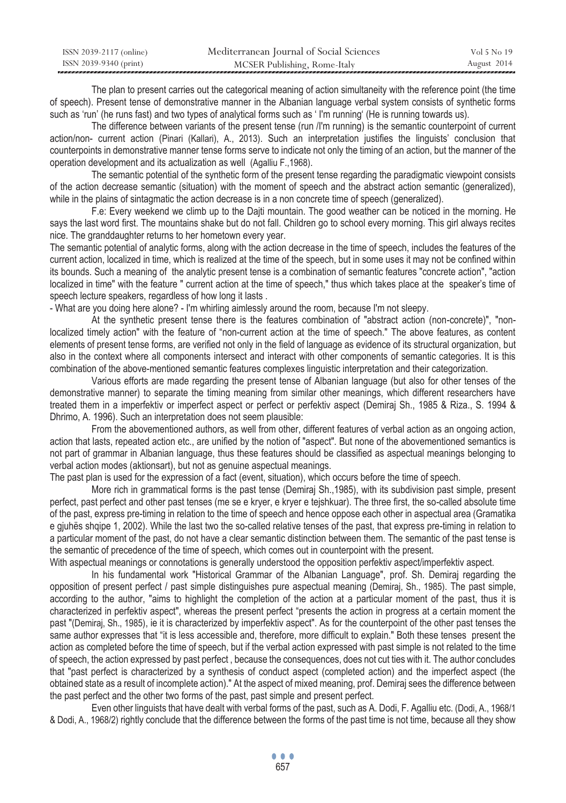| ISSN 2039-2117 (online) | Mediterranean Journal of Social Sciences | Vol 5 No 19 |
|-------------------------|------------------------------------------|-------------|
| ISSN 2039-9340 (print)  | MCSER Publishing, Rome-Italy             | August 2014 |

The plan to present carries out the categorical meaning of action simultaneity with the reference point (the time of speech). Present tense of demonstrative manner in the Albanian language verbal system consists of synthetic forms such as 'run' (he runs fast) and two types of analytical forms such as ' I'm running' (He is running towards us).

The difference between variants of the present tense (run /I'm running) is the semantic counterpoint of current action/non- current action (Pinari (Kallari), A., 2013). Such an interpretation justifies the linguists' conclusion that counterpoints in demonstrative manner tense forms serve to indicate not only the timing of an action, but the manner of the operation development and its actualization as well (Agalliu F.,1968).

The semantic potential of the synthetic form of the present tense regarding the paradigmatic viewpoint consists of the action decrease semantic (situation) with the moment of speech and the abstract action semantic (generalized), while in the plains of sintagmatic the action decrease is in a non concrete time of speech (generalized).

F.e: Every weekend we climb up to the Dajti mountain. The good weather can be noticed in the morning. He says the last word first. The mountains shake but do not fall. Children go to school every morning. This girl always recites nice. The granddaughter returns to her hometown every year.

The semantic potential of analytic forms, along with the action decrease in the time of speech, includes the features of the current action, localized in time, which is realized at the time of the speech, but in some uses it may not be confined within its bounds. Such a meaning of the analytic present tense is a combination of semantic features "concrete action", "action localized in time" with the feature " current action at the time of speech," thus which takes place at the speaker's time of speech lecture speakers, regardless of how long it lasts.

- What are you doing here alone? - I'm whirling aimlessly around the room, because I'm not sleepy.

At the synthetic present tense there is the features combination of "abstract action (non-concrete)", "nonlocalized timely action" with the feature of "non-current action at the time of speech." The above features, as content elements of present tense forms, are verified not only in the field of language as evidence of its structural organization, but also in the context where all components intersect and interact with other components of semantic categories. It is this combination of the above-mentioned semantic features complexes linguistic interpretation and their categorization.

Various efforts are made regarding the present tense of Albanian language (but also for other tenses of the demonstrative manner) to separate the timing meaning from similar other meanings, which different researchers have treated them in a imperfektiv or imperfect aspect or perfect or perfektiv aspect (Demiraj Sh., 1985 & Riza., S. 1994 & Dhrimo, A. 1996). Such an interpretation does not seem plausible:

From the abovementioned authors, as well from other, different features of verbal action as an ongoing action, action that lasts, repeated action etc., are unified by the notion of "aspect". But none of the abovementioned semantics is not part of grammar in Albanian language, thus these features should be classified as aspectual meanings belonging to verbal action modes (aktionsart), but not as genuine aspectual meanings.

The past plan is used for the expression of a fact (event, situation), which occurs before the time of speech.

More rich in grammatical forms is the past tense (Demiraj Sh.,1985), with its subdivision past simple, present perfect, past perfect and other past tenses (me se e kryer, e kryer e tejshkuar). The three first, the so-called absolute time of the past, express pre-timing in relation to the time of speech and hence oppose each other in aspectual area (Gramatika e gjuhës shqipe 1, 2002). While the last two the so-called relative tenses of the past, that express pre-timing in relation to a particular moment of the past, do not have a clear semantic distinction between them. The semantic of the past tense is the semantic of precedence of the time of speech, which comes out in counterpoint with the present.

With aspectual meanings or connotations is generally understood the opposition perfektiv aspect/imperfektiv aspect.

In his fundamental work "Historical Grammar of the Albanian Language", prof. Sh. Demiraj regarding the opposition of present perfect / past simple distinguishes pure aspectual meaning (Demiraj, Sh., 1985). The past simple, according to the author, "aims to highlight the completion of the action at a particular moment of the past, thus it is characterized in perfektiv aspect", whereas the present perfect "presents the action in progress at a certain moment the past "(Demiraj, Sh., 1985), ie it is characterized by imperfektiv aspect". As for the counterpoint of the other past tenses the same author expresses that "it is less accessible and, therefore, more difficult to explain." Both these tenses present the action as completed before the time of speech, but if the verbal action expressed with past simple is not related to the time of speech, the action expressed by past perfect , because the consequences, does not cut ties with it. The author concludes that "past perfect is characterized by a synthesis of conduct aspect (completed action) and the imperfect aspect (the obtained state as a result of incomplete action)." At the aspect of mixed meaning, prof. Demiraj sees the difference between the past perfect and the other two forms of the past, past simple and present perfect.

Even other linguists that have dealt with verbal forms of the past, such as A. Dodi, F. Agalliu etc. (Dodi, A., 1968/1 & Dodi, A., 1968/2) rightly conclude that the difference between the forms of the past time is not time, because all they show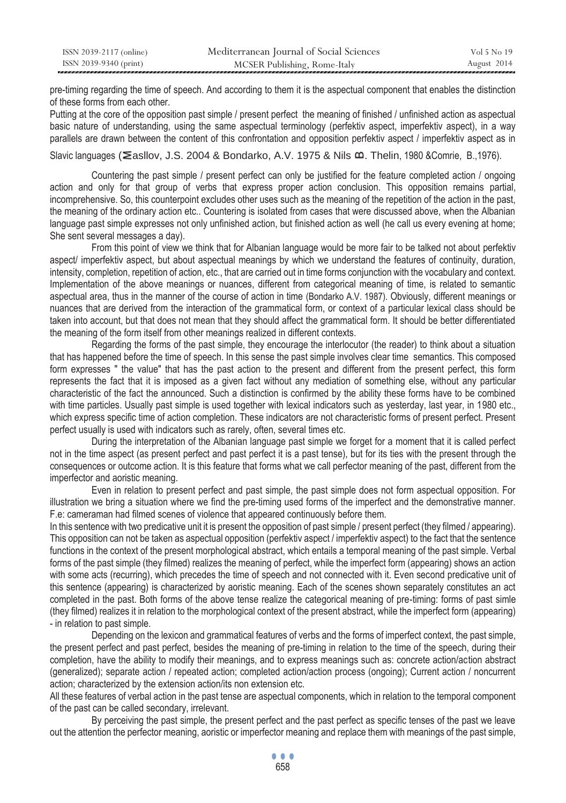| ISSN 2039-2117 (online) | Mediterranean Journal of Social Sciences | Vol 5 No 19 |
|-------------------------|------------------------------------------|-------------|
| ISSN 2039-9340 (print)  | MCSER Publishing, Rome-Italy             | August 2014 |

pre-timing regarding the time of speech. And according to them it is the aspectual component that enables the distinction of these forms from each other.

Putting at the core of the opposition past simple / present perfect the meaning of finished / unfinished action as aspectual basic nature of understanding, using the same aspectual terminology (perfektiv aspect, imperfektiv aspect), in a way parallels are drawn between the content of this confrontation and opposition perfektiv aspect / imperfektiv aspect as in

## Slavic languages (Sasllov, J.S. 2004 & Bondarko, A.V. 1975 & Nils  $\Omega$ . Thelin, 1980 &Comrie, B.,1976).

Countering the past simple / present perfect can only be justified for the feature completed action / ongoing action and only for that group of verbs that express proper action conclusion. This opposition remains partial, incomprehensive. So, this counterpoint excludes other uses such as the meaning of the repetition of the action in the past, the meaning of the ordinary action etc.. Countering is isolated from cases that were discussed above, when the Albanian language past simple expresses not only unfinished action, but finished action as well (he call us every evening at home; She sent several messages a day).

From this point of view we think that for Albanian language would be more fair to be talked not about perfektiv aspect/ imperfektiv aspect, but about aspectual meanings by which we understand the features of continuity, duration, intensity, completion, repetition of action, etc., that are carried out in time forms conjunction with the vocabulary and context. Implementation of the above meanings or nuances, different from categorical meaning of time, is related to semantic aspectual area, thus in the manner of the course of action in time (Bondarko A.V. 1987). Obviously, different meanings or nuances that are derived from the interaction of the grammatical form, or context of a particular lexical class should be taken into account, but that does not mean that they should affect the grammatical form. It should be better differentiated the meaning of the form itself from other meanings realized in different contexts.

Regarding the forms of the past simple, they encourage the interlocutor (the reader) to think about a situation that has happened before the time of speech. In this sense the past simple involves clear time semantics. This composed form expresses " the value" that has the past action to the present and different from the present perfect, this form represents the fact that it is imposed as a given fact without any mediation of something else, without any particular characteristic of the fact the announced. Such a distinction is confirmed by the ability these forms have to be combined with time particles. Usually past simple is used together with lexical indicators such as yesterday, last year, in 1980 etc., which express specific time of action completion. These indicators are not characteristic forms of present perfect. Present perfect usually is used with indicators such as rarely, often, several times etc.

During the interpretation of the Albanian language past simple we forget for a moment that it is called perfect not in the time aspect (as present perfect and past perfect it is a past tense), but for its ties with the present through the consequences or outcome action. It is this feature that forms what we call perfector meaning of the past, different from the imperfector and aoristic meaning.

Even in relation to present perfect and past simple, the past simple does not form aspectual opposition. For illustration we bring a situation where we find the pre-timing used forms of the imperfect and the demonstrative manner. F.e: cameraman had filmed scenes of violence that appeared continuously before them.

In this sentence with two predicative unit it is present the opposition of past simple / present perfect (they filmed / appearing). This opposition can not be taken as aspectual opposition (perfektiv aspect / imperfektiv aspect) to the fact that the sentence functions in the context of the present morphological abstract, which entails a temporal meaning of the past simple. Verbal forms of the past simple (they filmed) realizes the meaning of perfect, while the imperfect form (appearing) shows an action with some acts (recurring), which precedes the time of speech and not connected with it. Even second predicative unit of this sentence (appearing) is characterized by aoristic meaning. Each of the scenes shown separately constitutes an act completed in the past. Both forms of the above tense realize the categorical meaning of pre-timing: forms of past simle (they filmed) realizes it in relation to the morphological context of the present abstract, while the imperfect form (appearing) - in relation to past simple.

Depending on the lexicon and grammatical features of verbs and the forms of imperfect context, the past simple, the present perfect and past perfect, besides the meaning of pre-timing in relation to the time of the speech, during their completion, have the ability to modify their meanings, and to express meanings such as: concrete action/action abstract (generalized); separate action / repeated action; completed action/action process (ongoing); Current action / noncurrent action; characterized by the extension action/its non extension etc.

All these features of verbal action in the past tense are aspectual components, which in relation to the temporal component of the past can be called secondary, irrelevant.

By perceiving the past simple, the present perfect and the past perfect as specific tenses of the past we leave out the attention the perfector meaning, aoristic or imperfector meaning and replace them with meanings of the past simple,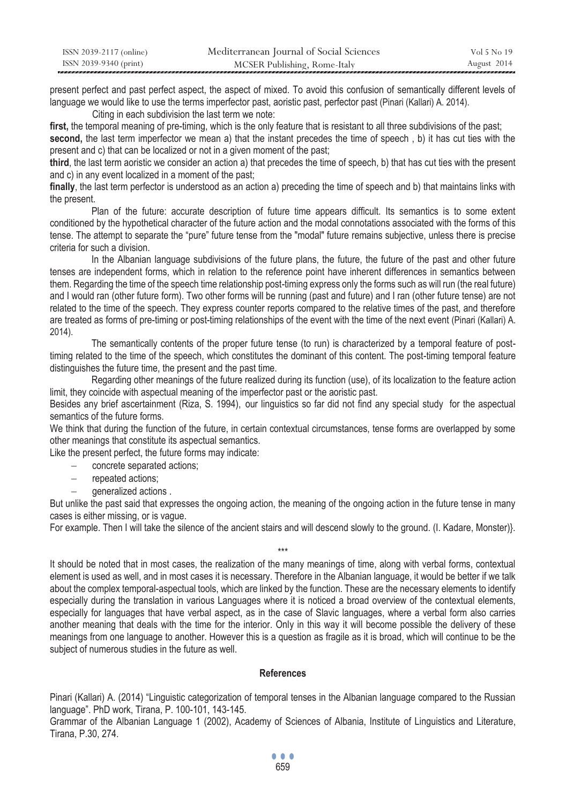| ISSN 2039-2117 (online) | Mediterranean Journal of Social Sciences | Vol 5 No 19 |
|-------------------------|------------------------------------------|-------------|
| ISSN 2039-9340 (print)  | MCSER Publishing, Rome-Italy             | August 2014 |

present perfect and past perfect aspect, the aspect of mixed. To avoid this confusion of semantically different levels of language we would like to use the terms imperfector past, aoristic past, perfector past (Pinari (Kallari) A. 2014).

Citing in each subdivision the last term we note:

first, the temporal meaning of pre-timing, which is the only feature that is resistant to all three subdivisions of the past; **second,** the last term imperfector we mean a) that the instant precedes the time of speech , b) it has cut ties with the present and c) that can be localized or not in a given moment of the past;

**third**, the last term aoristic we consider an action a) that precedes the time of speech, b) that has cut ties with the present and c) in any event localized in a moment of the past;

finally, the last term perfector is understood as an action a) preceding the time of speech and b) that maintains links with the present.

Plan of the future: accurate description of future time appears difficult. Its semantics is to some extent conditioned by the hypothetical character of the future action and the modal connotations associated with the forms of this tense. The attempt to separate the "pure" future tense from the "modal" future remains subjective, unless there is precise criteria for such a division.

In the Albanian language subdivisions of the future plans, the future, the future of the past and other future tenses are independent forms, which in relation to the reference point have inherent differences in semantics between them. Regarding the time of the speech time relationship post-timing express only the forms such as will run (the real future) and I would ran (other future form). Two other forms will be running (past and future) and I ran (other future tense) are not related to the time of the speech. They express counter reports compared to the relative times of the past, and therefore are treated as forms of pre-timing or post-timing relationships of the event with the time of the next event (Pinari (Kallari) A. 2014).

The semantically contents of the proper future tense (to run) is characterized by a temporal feature of posttiming related to the time of the speech, which constitutes the dominant of this content. The post-timing temporal feature distinguishes the future time, the present and the past time.

Regarding other meanings of the future realized during its function (use), of its localization to the feature action limit, they coincide with aspectual meaning of the imperfector past or the aoristic past.

Besides any brief ascertainment (Riza, S. 1994), our linguistics so far did not find any special study for the aspectual semantics of the future forms.

We think that during the function of the future, in certain contextual circumstances, tense forms are overlapped by some other meanings that constitute its aspectual semantics.

Like the present perfect, the future forms may indicate:

- concrete separated actions;
- repeated actions;
- generalized actions .

But unlike the past said that expresses the ongoing action, the meaning of the ongoing action in the future tense in many cases is either missing, or is vague.

For example. Then I will take the silence of the ancient stairs and will descend slowly to the ground. (I. Kadare, Monster)}.

\*\*\*

It should be noted that in most cases, the realization of the many meanings of time, along with verbal forms, contextual element is used as well, and in most cases it is necessary. Therefore in the Albanian language, it would be better if we talk about the complex temporal-aspectual tools, which are linked by the function. These are the necessary elements to identify especially during the translation in various Languages where it is noticed a broad overview of the contextual elements, especially for languages that have verbal aspect, as in the case of Slavic languages, where a verbal form also carries another meaning that deals with the time for the interior. Only in this way it will become possible the delivery of these meanings from one language to another. However this is a question as fragile as it is broad, which will continue to be the subject of numerous studies in the future as well.

## **References**

Pinari (Kallari) A. (2014) "Linguistic categorization of temporal tenses in the Albanian language compared to the Russian language". PhD work, Tirana, P. 100-101, 143-145.

Grammar of the Albanian Language 1 (2002), Academy of Sciences of Albania, Institute of Linguistics and Literature, Tirana, P.30, 274.